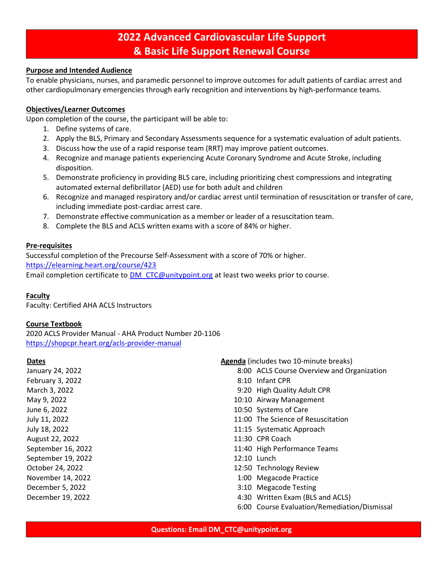## **2022 Advanced Cardiovascular Life Support & Basic Life Support Renewal Course**

#### **Purpose and Intended Audience**

To enable physicians, nurses, and paramedic personnel to improve outcomes for adult patients of cardiac arrest and other cardiopulmonary emergencies through early recognition and interventions by high-performance teams.

## **Objectives/Learner Outcomes**

Upon completion of the course, the participant will be able to:

- 1. Define systems of care.
- 2. Apply the BLS, Primary and Secondary Assessments sequence for a systematic evaluation of adult patients.
- 3. Discuss how the use of a rapid response team (RRT) may improve patient outcomes.
- 4. Recognize and manage patients experiencing Acute Coronary Syndrome and Acute Stroke, including disposition.
- 5. Demonstrate proficiency in providing BLS care, including prioritizing chest compressions and integrating automated external defibrillator (AED) use for both adult and children
- 6. Recognize and managed respiratory and/or cardiac arrest until termination of resuscitation or transfer of care, including immediate post-cardiac arrest care.
- 7. Demonstrate effective communication as a member or leader of a resuscitation team.
- 8. Complete the BLS and ACLS written exams with a score of 84% or higher.

#### **Pre-requisites**

Successful completion of the Precourse Self-Assessment with a score of 70% or higher. <https://elearning.heart.org/course/423> Email completion certificate to [DM\\_CTC@unitypoint.org](mailto:DM_CTC@unitypoint.org) at least two weeks prior to course.

#### **Faculty**

Faculty: Certified AHA ACLS Instructors

#### **Course Textbook**

2020 ACLS Provider Manual - AHA Product Number 20-1106 <https://shopcpr.heart.org/acls-provider-manual>

#### **Dates**

January 24, 2022 February 3, 2022 March 3, 2022 May 9, 2022 June 6, 2022 July 11, 2022 July 18, 2022 August 22, 2022 September 16, 2022 September 19, 2022 October 24, 2022 November 14, 2022 December 5, 2022 December 19, 2022

#### **Agenda** (includes two 10-minute breaks)

- 8:00 ACLS Course Overview and Organization
- 8:10 Infant CPR
- 9:20 High Quality Adult CPR
- 10:10 Airway Management
- 10:50 Systems of Care
- 11:00 The Science of Resuscitation
- 11:15 Systematic Approach
- 11:30 CPR Coach
- 11:40 High Performance Teams
- 12:10 Lunch
- 12:50 Technology Review
- 1:00 Megacode Practice
- 3:10 Megacode Testing
- 4:30 Written Exam (BLS and ACLS)
- 6:00 Course Evaluation/Remediation/Dismissal